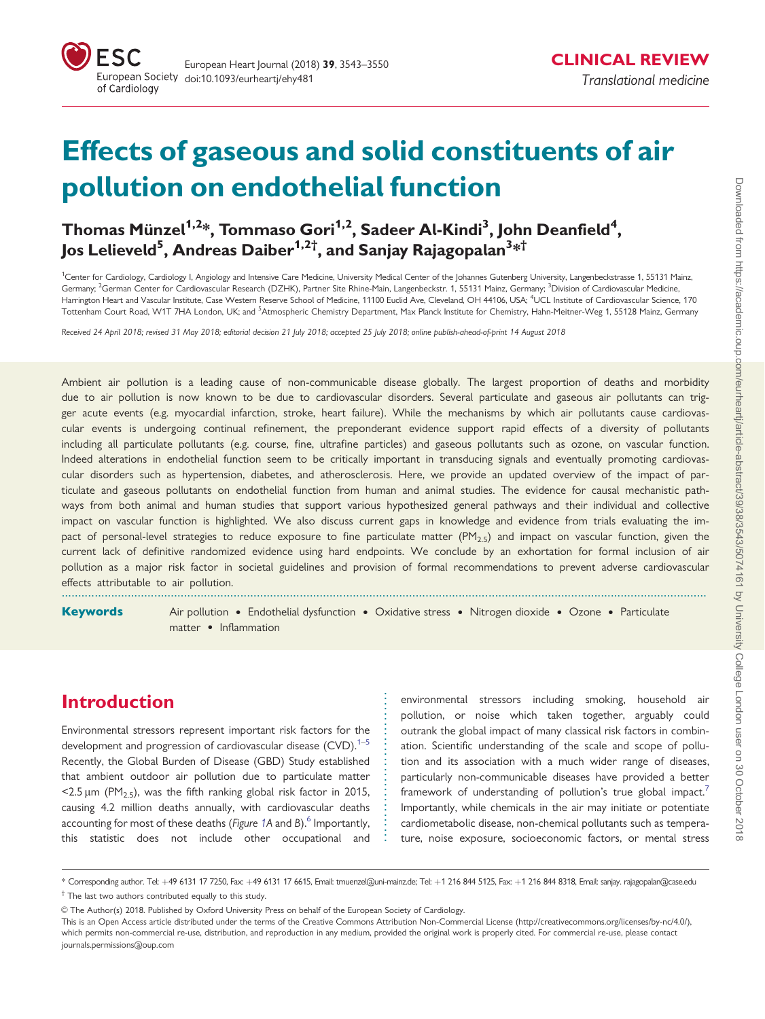<span id="page-0-0"></span>

# Effects of gaseous and solid constituents of air pollution on endothelial function

### Thomas Münzel $^{1,2}$ \*, Tommaso Gori $^{1,2}$ , Sadeer Al-Kindi $^3$ , John Deanfield $^4$ , Jos Lelieveld<sup>5</sup>, Andreas Daiber<sup>1,2†</sup>, and Sanjay Rajagopalan<sup>3</sup>\*<sup>†</sup>

<sup>1</sup>Center for Cardiology, Cardiology I, Angiology and Intensive Care Medicine, University Medical Center of the Johannes Gutenberg University, Langenbeckstrasse 1, 55131 Mainz, Germany; <sup>2</sup>German Center for Cardiovascular Research (DZHK), Partner Site Rhine-Main, Langenbeckstr. 1, 55131 Mainz, Germany; <sup>3</sup>Division of Cardiovascular Medicine. Harrington Heart and Vascular Institute, Case Western Reserve School of Medicine, 11100 Euclid Ave, Cleveland, OH 44106, USA; <sup>4</sup>UCL Institute of Cardiovascular Science, 170 Tottenham Court Road, W1T 7HA London, UK; and <sup>5</sup>Atmospheric Chemistry Department, Max Planck Institute for Chemistry, Hahn-Meitner-Weg 1, 55128 Mainz, Germany

Received 24 April 2018; revised 31 May 2018; editorial decision 21 July 2018; accepted 25 July 2018; online publish-ahead-of-print 14 August 2018

Ambient air pollution is a leading cause of non-communicable disease globally. The largest proportion of deaths and morbidity due to air pollution is now known to be due to cardiovascular disorders. Several particulate and gaseous air pollutants can trigger acute events (e.g. myocardial infarction, stroke, heart failure). While the mechanisms by which air pollutants cause cardiovascular events is undergoing continual refinement, the preponderant evidence support rapid effects of a diversity of pollutants including all particulate pollutants (e.g. course, fine, ultrafine particles) and gaseous pollutants such as ozone, on vascular function. Indeed alterations in endothelial function seem to be critically important in transducing signals and eventually promoting cardiovascular disorders such as hypertension, diabetes, and atherosclerosis. Here, we provide an updated overview of the impact of particulate and gaseous pollutants on endothelial function from human and animal studies. The evidence for causal mechanistic pathways from both animal and human studies that support various hypothesized general pathways and their individual and collective impact on vascular function is highlighted. We also discuss current gaps in knowledge and evidence from trials evaluating the impact of personal-level strategies to reduce exposure to fine particulate matter  $(PM_{2.5})$  and impact on vascular function, given the current lack of definitive randomized evidence using hard endpoints. We conclude by an exhortation for formal inclusion of air pollution as a major risk factor in societal guidelines and provision of formal recommendations to prevent adverse cardiovascular effects attributable to air pollution.

Keywords Air pollution • Endothelial dysfunction • Oxidative stress • Nitrogen dioxide • Ozone • Particulate matter • Inflammation

...................................................................................................................................................................................................

### Introduction

Environmental stressors represent important risk factors for the development and progression of cardiovascular disease  $(CVD).<sup>1–5</sup>$  $(CVD).<sup>1–5</sup>$  $(CVD).<sup>1–5</sup>$  $(CVD).<sup>1–5</sup>$  $(CVD).<sup>1–5</sup>$ Recently, the Global Burden of Disease (GBD) Study established that ambient outdoor air pollution due to particulate matter  $\leq$ 2.5 µm (PM<sub>2.5</sub>), was the fifth ranking global risk factor in 2015, causing 4.2 million deaths annually, with cardiovascular deaths accounting for most of these deaths (Figure [1A](#page-1-0) and B). $<sup>6</sup>$  $<sup>6</sup>$  $<sup>6</sup>$  Importantly,</sup> this statistic does not include other occupational and

environmental stressors including smoking, household air pollution, or noise which taken together, arguably could outrank the global impact of many classical risk factors in combination. Scientific understanding of the scale and scope of pollution and its association with a much wider range of diseases, particularly non-communicable diseases have provided a better framework of understanding of pollution's true global impact.<sup>[7](#page-7-0)</sup> Importantly, while chemicals in the air may initiate or potentiate cardiometabolic disease, non-chemical pollutants such as temperature, noise exposure, socioeconomic factors, or mental stress

. . . . . . . . . . . . . . . . . . . . . . . . . . . . . .

<sup>\*</sup> Corresponding author. Tel: þ49 6131 17 7250, Fax: þ49 6131 17 6615, Email: tmuenzel@uni-mainz.de; Tel: þ1 216 844 5125, Fax: þ1 216 844 8318, Email: [sanjay. rajagopalan@case.edu](mailto:)  $\dagger$  The last two authors contributed equally to this study.

<sup>©</sup> The Author(s) 2018. Published by Oxford University Press on behalf of the European Society of Cardiology.

This is an Open Access article distributed under the terms of the Creative Commons Attribution Non-Commercial License (http://creativecommons.org/licenses/by-nc/4.0/), which permits non-commercial re-use, distribution, and reproduction in any medium, provided the original work is properly cited. For commercial re-use, please contact journals.permissions@oup.com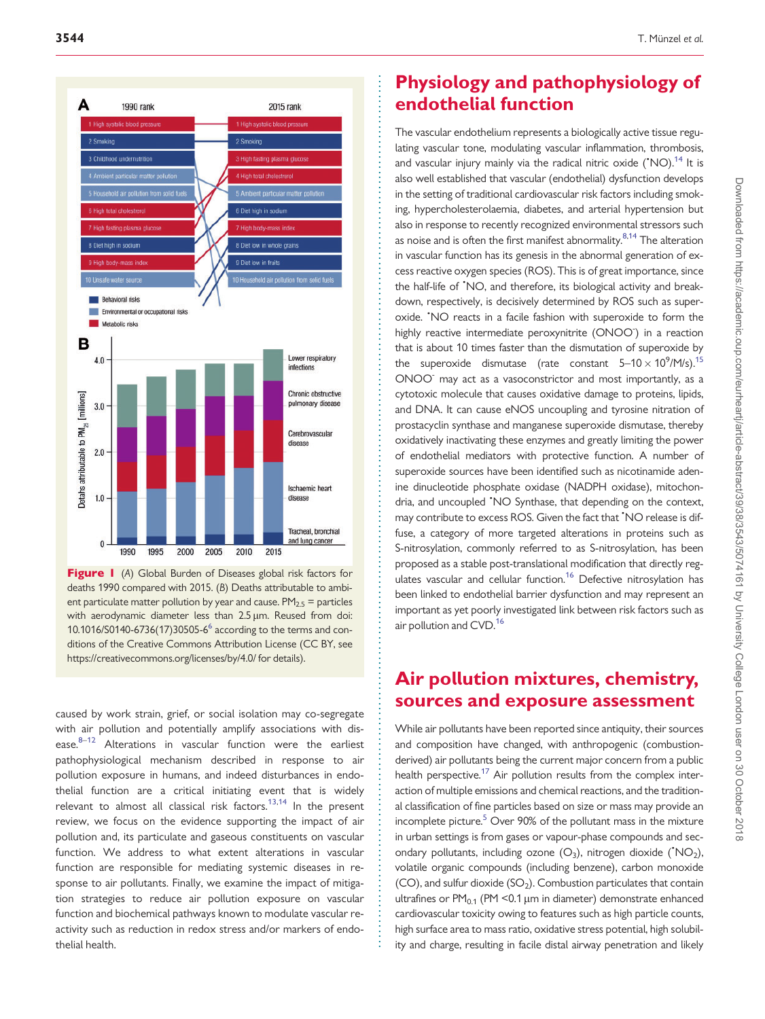<span id="page-1-0"></span>

Figure I (A) Global Burden of Diseases global risk factors for deaths 1990 compared with 2015. (B) Deaths attributable to ambient particulate matter pollution by year and cause.  $PM<sub>2.5</sub> =$  particles with aerodynamic diameter less than  $2.5 \,\mu m$ . Reused from doi: 10.1016/S0140-6736(17)30505-[66](#page-7-0) according to the terms and conditions of the Creative Commons Attribution License (CC BY, see <https://creativecommons.org/licenses/by/4.0/> for details).

caused by work strain, grief, or social isolation may co-segregate with air pollution and potentially amplify associations with disease. $8-12$  $8-12$  $8-12$  Alterations in vascular function were the earliest pathophysiological mechanism described in response to air pollution exposure in humans, and indeed disturbances in endothelial function are a critical initiating event that is widely relevant to almost all classical risk factors. $13,14$  $13,14$  $13,14$  In the present review, we focus on the evidence supporting the impact of air pollution and, its particulate and gaseous constituents on vascular function. We address to what extent alterations in vascular function are responsible for mediating systemic diseases in response to air pollutants. Finally, we examine the impact of mitigation strategies to reduce air pollution exposure on vascular function and biochemical pathways known to modulate vascular reactivity such as reduction in redox stress and/or markers of endothelial health.

### Physiology and pathophysiology of endothelial function

The vascular endothelium represents a biologically active tissue regulating vascular tone, modulating vascular inflammation, thrombosis, and vascular injury mainly via the radical nitric oxide  $(\text{NO})$ .<sup>14</sup> It is also well established that vascular (endothelial) dysfunction develops in the setting of traditional cardiovascular risk factors including smoking, hypercholesterolaemia, diabetes, and arterial hypertension but also in response to recently recognized environmental stressors such as noise and is often the first manifest abnormality. $8,14$  $8,14$  The alteration in vascular function has its genesis in the abnormal generation of excess reactive oxygen species (ROS). This is of great importance, since the half-life of • NO, and therefore, its biological activity and breakdown, respectively, is decisively determined by ROS such as superoxide. • NO reacts in a facile fashion with superoxide to form the highly reactive intermediate peroxynitrite (ONOO<sup>-</sup>) in a reaction that is about 10 times faster than the dismutation of superoxide by the superoxide dismutase (rate constant  $5-10 \times 10^9$ /M/s).<sup>15</sup> ONOO- may act as a vasoconstrictor and most importantly, as a cytotoxic molecule that causes oxidative damage to proteins, lipids, and DNA. It can cause eNOS uncoupling and tyrosine nitration of prostacyclin synthase and manganese superoxide dismutase, thereby oxidatively inactivating these enzymes and greatly limiting the power of endothelial mediators with protective function. A number of superoxide sources have been identified such as nicotinamide adenine dinucleotide phosphate oxidase (NADPH oxidase), mitochondria, and uncoupled • NO Synthase, that depending on the context, may contribute to excess ROS. Given the fact that 'NO release is diffuse, a category of more targeted alterations in proteins such as S-nitrosylation, commonly referred to as S-nitrosylation, has been proposed as a stable post-translational modification that directly regulates vascular and cellular function.<sup>16</sup> Defective nitrosylation has been linked to endothelial barrier dysfunction and may represent an important as yet poorly investigated link between risk factors such as air pollution and CVD.<sup>16</sup>

# Air pollution mixtures, chemistry, sources and exposure assessment

While air pollutants have been reported since antiquity, their sources and composition have changed, with anthropogenic (combustionderived) air pollutants being the current major concern from a public health perspective.<sup>[17](#page-8-0)</sup> Air pollution results from the complex interaction of multiple emissions and chemical reactions, and the traditional classification of fine particles based on size or mass may provide an incomplete picture.<sup>5</sup> Over 90% of the pollutant mass in the mixture in urban settings is from gases or vapour-phase compounds and secondary pollutants, including ozone  $(O_3)$ , nitrogen dioxide  $({^1}NO_2)$ , volatile organic compounds (including benzene), carbon monoxide  $(CO)$ , and sulfur dioxide  $(SO<sub>2</sub>)$ . Combustion particulates that contain ultrafines or  $PM_{0.1}$  (PM < 0.1 µm in diameter) demonstrate enhanced cardiovascular toxicity owing to features such as high particle counts, high surface area to mass ratio, oxidative stress potential, high solubility and charge, resulting in facile distal airway penetration and likely

. . . . . . . . . . . . . . . . . . . . . . . . . . . . . . . . . . . . . . . . . . . . . . . . . . . . . . . . . . . . . . . . . . . . . . . . . . . . . . . . . . . . . . . . . . . . . . . . . . . . . . . . . . . . . . . . . . . . . . . . . . . . . . . . . . . . . . . . . . . . . . . . . . . . . . . . . . . . . . . . . . . . . . . . . . . . .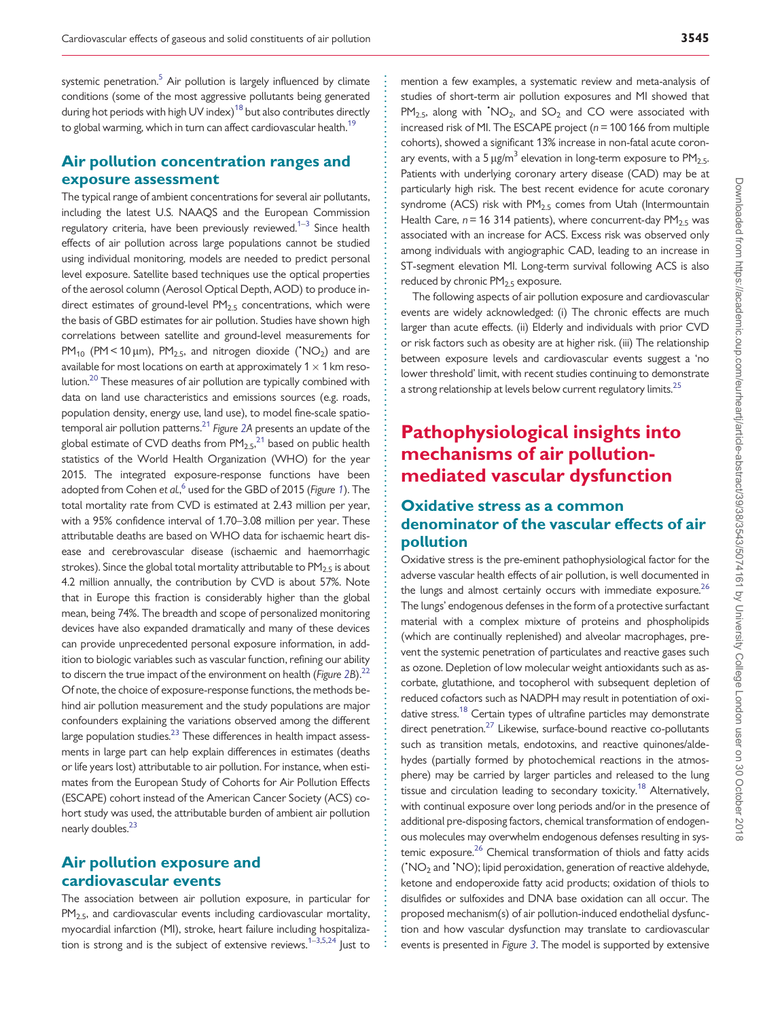<span id="page-2-0"></span>systemic penetration.<sup>[5](#page-7-0)</sup> Air pollution is largely influenced by climate conditions (some of the most aggressive pollutants being generated during hot periods with high UV index)<sup>[18](#page-8-0)</sup> but also contributes directly to global warming, which in turn can affect cardiovascular health.<sup>[19](#page-8-0)</sup>

#### Air pollution concentration ranges and exposure assessment

The typical range of ambient concentrations for several air pollutants, including the latest U.S. NAAQS and the European Commission regulatory criteria, have been previously reviewed.<sup>1–3</sup> Since health effects of air pollution across large populations cannot be studied using individual monitoring, models are needed to predict personal level exposure. Satellite based techniques use the optical properties of the aerosol column (Aerosol Optical Depth, AOD) to produce indirect estimates of ground-level  $PM<sub>25</sub>$  concentrations, which were the basis of GBD estimates for air pollution. Studies have shown high correlations between satellite and ground-level measurements for  $PM_{10}$  (PM < 10  $\mu$ m), PM<sub>2.5</sub>, and nitrogen dioxide ( $NO_2$ ) and are available for most locations on earth at approximately 1  $\times$  1 km resolution.[20](#page-8-0) These measures of air pollution are typically combined with data on land use characteristics and emissions sources (e.g. roads, population density, energy use, land use), to model fine-scale spatiotemporal air pollution patterns. $^{21}$  Figure [2A](#page-3-0) presents an update of the global estimate of CVD deaths from  $\mathsf{PM}_{2.5}^{\phantom{2},21}$  $\mathsf{PM}_{2.5}^{\phantom{2},21}$  $\mathsf{PM}_{2.5}^{\phantom{2},21}$  based on public health statistics of the World Health Organization (WHO) for the year 2015. The integrated exposure-response functions have been adopted from Cohen et al., $^6$  $^6$  used for the GBD of 20[1](#page-1-0)5 (*Figure 1*). The total mortality rate from CVD is estimated at 2.43 million per year, with a 95% confidence interval of 1.70–3.08 million per year. These attributable deaths are based on WHO data for ischaemic heart disease and cerebrovascular disease (ischaemic and haemorrhagic strokes). Since the global total mortality attributable to  $PM<sub>25</sub>$  is about 4.2 million annually, the contribution by CVD is about 57%. Note that in Europe this fraction is considerably higher than the global mean, being 74%. The breadth and scope of personalized monitoring devices have also expanded dramatically and many of these devices can provide unprecedented personal exposure information, in addition to biologic variables such as vascular function, refining our ability to discern the true impact of the environment on health (Figure [2](#page-3-0)B).<sup>[22](#page-8-0)</sup> Of note, the choice of exposure-response functions, the methods behind air pollution measurement and the study populations are major confounders explaining the variations observed among the different large population studies. $^{23}$  These differences in health impact assessments in large part can help explain differences in estimates (deaths or life years lost) attributable to air pollution. For instance, when estimates from the European Study of Cohorts for Air Pollution Effects (ESCAPE) cohort instead of the American Cancer Society (ACS) cohort study was used, the attributable burden of ambient air pollution nearly doubles.<sup>23</sup>

#### Air pollution exposure and cardiovascular events

The association between air pollution exposure, in particular for PM<sub>2.5</sub>, and cardiovascular events including cardiovascular mortality, myocardial infarction (MI), stroke, heart failure including hospitaliza-tion is strong and is the subject of extensive reviews.<sup>[1–3](#page-7-0),[5](#page-7-0)[,24](#page-8-0)</sup> Just to

. . . . . . . . . . . . . . . . . . . . . . . . . . . . . . . . . . . . . . . . . . . . . . . . . . . . . . . . . . . . . . . . . . . . . . . . . . . . . . . . . . . . . . . . . . . . . . . . . . . . . . . . . . . . . . . . . . . . . . . . . . . . . . . . . . . . . . . . . . . . . . . . . . . . . . . . . . . . . . . . . . . . . . . . . . . .

mention a few examples, a systematic review and meta-analysis of studies of short-term air pollution exposures and MI showed that  $PM_{2.5}$ , along with  $^{\bullet}$ NO<sub>2</sub>, and SO<sub>2</sub> and CO were associated with increased risk of MI. The ESCAPE project ( $n = 100166$  from multiple cohorts), showed a significant 13% increase in non-fatal acute coronary events, with a 5  $\mu$ g/m<sup>3</sup> elevation in long-term exposure to PM<sub>2.5</sub>. Patients with underlying coronary artery disease (CAD) may be at particularly high risk. The best recent evidence for acute coronary syndrome (ACS) risk with  $PM<sub>25</sub>$  comes from Utah (Intermountain Health Care,  $n = 16$  314 patients), where concurrent-day PM<sub>2.5</sub> was associated with an increase for ACS. Excess risk was observed only among individuals with angiographic CAD, leading to an increase in ST-segment elevation MI. Long-term survival following ACS is also reduced by chronic  $PM<sub>2.5</sub>$  exposure.

The following aspects of air pollution exposure and cardiovascular events are widely acknowledged: (i) The chronic effects are much larger than acute effects. (ii) Elderly and individuals with prior CVD or risk factors such as obesity are at higher risk. (iii) The relationship between exposure levels and cardiovascular events suggest a 'no lower threshold' limit, with recent studies continuing to demonstrate a strong relationship at levels below current regulatory limits.<sup>25</sup>

# Pathophysiological insights into mechanisms of air pollutionmediated vascular dysfunction

#### Oxidative stress as a common denominator of the vascular effects of air pollution

Oxidative stress is the pre-eminent pathophysiological factor for the adverse vascular health effects of air pollution, is well documented in the lungs and almost certainly occurs with immediate exposure.<sup>[26](#page-8-0)</sup> The lungs' endogenous defenses in the form of a protective surfactant material with a complex mixture of proteins and phospholipids (which are continually replenished) and alveolar macrophages, prevent the systemic penetration of particulates and reactive gases such as ozone. Depletion of low molecular weight antioxidants such as ascorbate, glutathione, and tocopherol with subsequent depletion of reduced cofactors such as NADPH may result in potentiation of oxi-dative stress.<sup>[18](#page-8-0)</sup> Certain types of ultrafine particles may demonstrate direct penetration.<sup>27</sup> Likewise, surface-bound reactive co-pollutants such as transition metals, endotoxins, and reactive quinones/aldehydes (partially formed by photochemical reactions in the atmosphere) may be carried by larger particles and released to the lung tissue and circulation leading to secondary toxicity.<sup>18</sup> Alternatively, with continual exposure over long periods and/or in the presence of additional pre-disposing factors, chemical transformation of endogenous molecules may overwhelm endogenous defenses resulting in systemic exposure.<sup>26</sup> Chemical transformation of thiols and fatty acids ('NO<sub>2</sub> and 'NO); lipid peroxidation, generation of reactive aldehyde, ketone and endoperoxide fatty acid products; oxidation of thiols to disulfides or sulfoxides and DNA base oxidation can all occur. The proposed mechanism(s) of air pollution-induced endothelial dysfunction and how vascular dysfunction may translate to cardiovascular events is presented in Figure [3](#page-4-0). The model is supported by extensive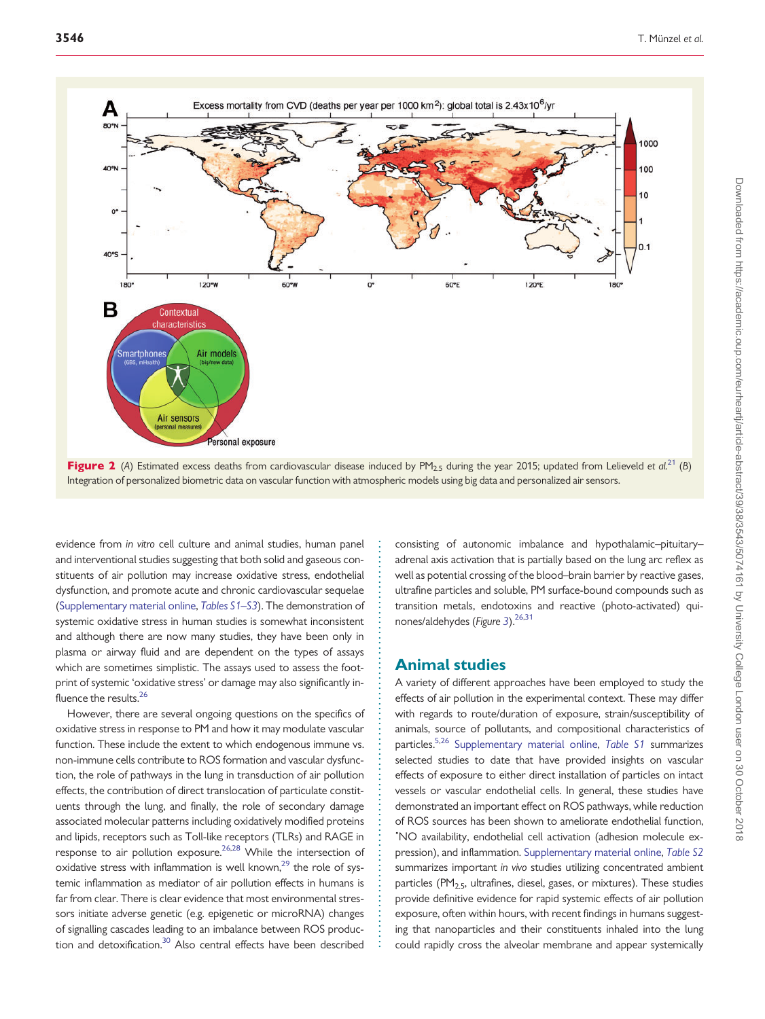<span id="page-3-0"></span>



. . . . . . . . . . . . . . . . . . . . . . . . . . . . . . . . . . . . . . . . . . . . . . . . . . . . . . . . . . . . . . . . . . . . . . . . . . . . . . . .

. evidence from in vitro cell culture and animal studies, human panel and interventional studies suggesting that both solid and gaseous constituents of air pollution may increase oxidative stress, endothelial dysfunction, and promote acute and chronic cardiovascular sequelae [\(Supplementary material online,](https://academic.oup.com/eurheartj/article-lookup/doi/10.1093/eurheartj/ehy481#supplementary-data) [Tables S1–S3](https://academic.oup.com/eurheartj/article-lookup/doi/10.1093/eurheartj/ehy481#supplementary-data)). The demonstration of systemic oxidative stress in human studies is somewhat inconsistent and although there are now many studies, they have been only in plasma or airway fluid and are dependent on the types of assays which are sometimes simplistic. The assays used to assess the footprint of systemic 'oxidative stress' or damage may also significantly influence the results.<sup>26</sup>

However, there are several ongoing questions on the specifics of oxidative stress in response to PM and how it may modulate vascular function. These include the extent to which endogenous immune vs. non-immune cells contribute to ROS formation and vascular dysfunction, the role of pathways in the lung in transduction of air pollution effects, the contribution of direct translocation of particulate constituents through the lung, and finally, the role of secondary damage associated molecular patterns including oxidatively modified proteins and lipids, receptors such as Toll-like receptors (TLRs) and RAGE in response to air pollution exposure.<sup>[26](#page-8-0),[28](#page-8-0)</sup> While the intersection of oxidative stress with inflammation is well known, $29$  the role of systemic inflammation as mediator of air pollution effects in humans is far from clear. There is clear evidence that most environmental stressors initiate adverse genetic (e.g. epigenetic or microRNA) changes of signalling cascades leading to an imbalance between ROS production and detoxification[.30](#page-8-0) Also central effects have been described

consisting of autonomic imbalance and hypothalamic–pituitary– adrenal axis activation that is partially based on the lung arc reflex as well as potential crossing of the blood–brain barrier by reactive gases, ultrafine particles and soluble, PM surface-bound compounds such as transition metals, endotoxins and reactive (photo-activated) qui-nones/aldehydes (Figure [3](#page-4-0)).<sup>26,[31](#page-8-0)</sup>

#### Animal studies

A variety of different approaches have been employed to study the effects of air pollution in the experimental context. These may differ with regards to route/duration of exposure, strain/susceptibility of animals, source of pollutants, and compositional characteristics of particles.<sup>[5](#page-7-0)[,26](#page-8-0)</sup> [Supplementary material online](https://academic.oup.com/eurheartj/article-lookup/doi/10.1093/eurheartj/ehy481#supplementary-data), [Table S1](https://academic.oup.com/eurheartj/article-lookup/doi/10.1093/eurheartj/ehy481#supplementary-data) summarizes selected studies to date that have provided insights on vascular effects of exposure to either direct installation of particles on intact vessels or vascular endothelial cells. In general, these studies have demonstrated an important effect on ROS pathways, while reduction of ROS sources has been shown to ameliorate endothelial function, • NO availability, endothelial cell activation (adhesion molecule expression), and inflammation. [Supplementary material online](https://academic.oup.com/eurheartj/article-lookup/doi/10.1093/eurheartj/ehy481#supplementary-data), [Table S2](https://academic.oup.com/eurheartj/article-lookup/doi/10.1093/eurheartj/ehy481#supplementary-data) summarizes important in vivo studies utilizing concentrated ambient particles (PM<sub>2.5</sub>, ultrafines, diesel, gases, or mixtures). These studies provide definitive evidence for rapid systemic effects of air pollution exposure, often within hours, with recent findings in humans suggesting that nanoparticles and their constituents inhaled into the lung could rapidly cross the alveolar membrane and appear systemically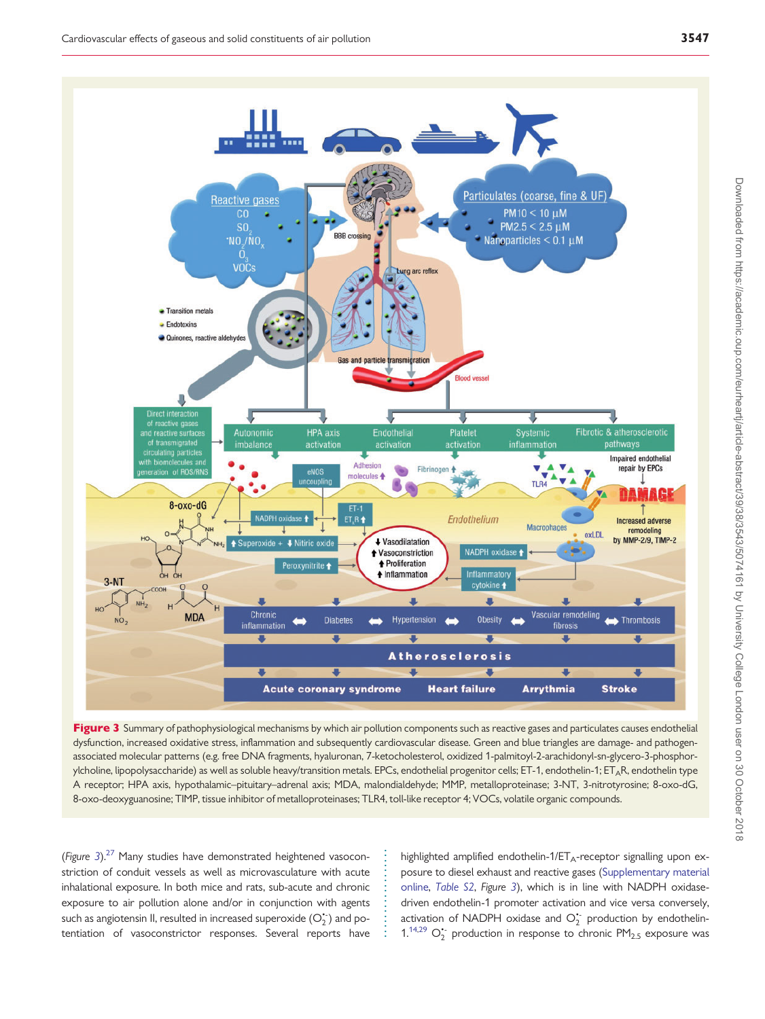<span id="page-4-0"></span>

Figure 3 Summary of pathophysiological mechanisms by which air pollution components such as reactive gases and particulates causes endothelial dysfunction, increased oxidative stress, inflammation and subsequently cardiovascular disease. Green and blue triangles are damage- and pathogenassociated molecular patterns (e.g. free DNA fragments, hyaluronan, 7-ketocholesterol, oxidized 1-palmitoyl-2-arachidonyl-sn-glycero-3-phosphorylcholine, lipopolysaccharide) as well as soluble heavy/transition metals. EPCs, endothelial progenitor cells; ET-1, endothelin-1; ETAR, endothelin type A receptor; HPA axis, hypothalamic–pituitary–adrenal axis; MDA, malondialdehyde; MMP, metalloproteinase; 3-NT, 3-nitrotyrosine; 8-oxo-dG, 8-oxo-deoxyguanosine; TIMP, tissue inhibitor of metalloproteinases; TLR4, toll-like receptor 4; VOCs, volatile organic compounds.

. . . . . . . . . . . . . . . . .

(Figure 3). $^{27}$  $^{27}$  $^{27}$  Many studies have demonstrated heightened vasoconstriction of conduit vessels as well as microvasculature with acute inhalational exposure. In both mice and rats, sub-acute and chronic exposure to air pollution alone and/or in conjunction with agents such as angiotensin II, resulted in increased superoxide  $(O_2^{\scriptscriptstyle +})$  and potentiation of vasoconstrictor responses. Several reports have highlighted amplified endothelin-1/ $ET_A$ -receptor signalling upon exposure to diesel exhaust and reactive gases [\(Supplementary material](https://academic.oup.com/eurheartj/article-lookup/doi/10.1093/eurheartj/ehy481#supplementary-data) [online,](https://academic.oup.com/eurheartj/article-lookup/doi/10.1093/eurheartj/ehy481#supplementary-data) [Table S2](https://academic.oup.com/eurheartj/article-lookup/doi/10.1093/eurheartj/ehy481#supplementary-data), Figure 3), which is in line with NADPH oxidasedriven endothelin-1 promoter activation and vice versa conversely, activation of NADPH oxidase and  $O_{2}^{2}$  production by endothelin- $1.^{14,29}$  O<sub>2</sub> production in response to chronic PM<sub>2.5</sub> exposure was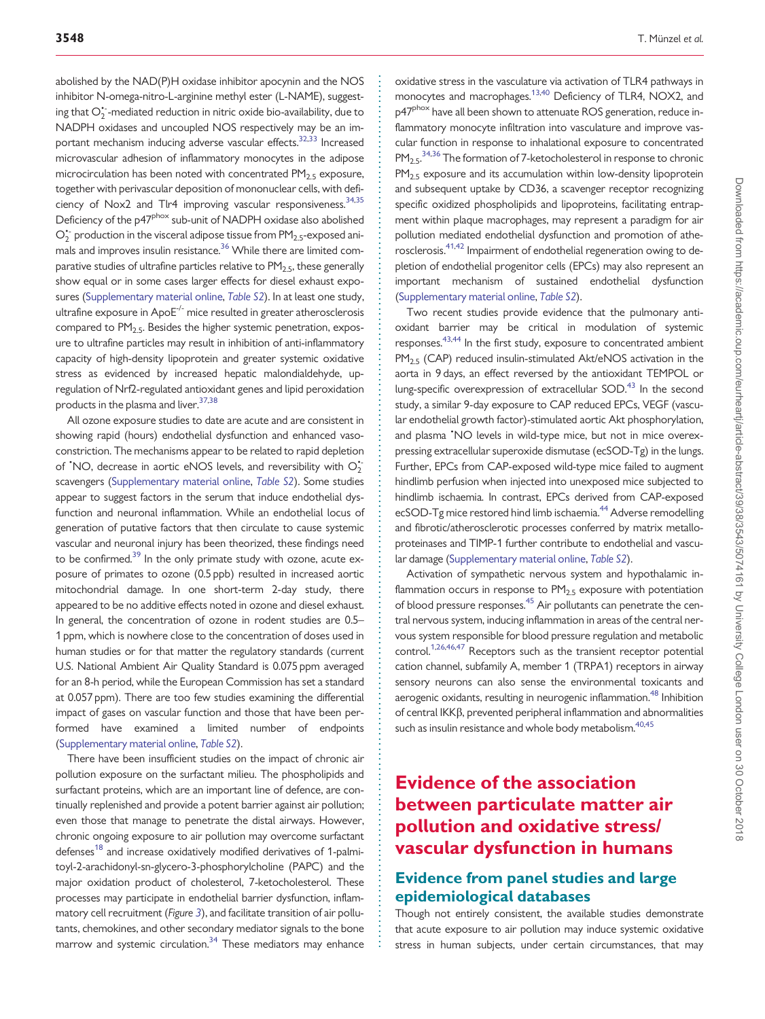<span id="page-5-0"></span>. abolished by the NAD(P)H oxidase inhibitor apocynin and the NOS inhibitor N-omega-nitro-L-arginine methyl ester (L-NAME), suggesting that  $O_2^*$ -mediated reduction in nitric oxide bio-availability, due to NADPH oxidases and uncoupled NOS respectively may be an im-portant mechanism inducing adverse vascular effects.<sup>[32,33](#page-8-0)</sup> Increased microvascular adhesion of inflammatory monocytes in the adipose microcirculation has been noted with concentrated  $PM<sub>25</sub>$  exposure, together with perivascular deposition of mononuclear cells, with deficiency of Nox2 and Tlr4 improving vascular responsiveness.  $34,35$ Deficiency of the p47<sup>phox</sup> sub-unit of NADPH oxidase also abolished  $O_2^*$  production in the visceral adipose tissue from  $PM_{2.5}$ -exposed ani-mals and improves insulin resistance.<sup>[36](#page-8-0)</sup> While there are limited comparative studies of ultrafine particles relative to  $PM<sub>2</sub>$ <sub>5</sub>, these generally show equal or in some cases larger effects for diesel exhaust exposures ([Supplementary material online](https://academic.oup.com/eurheartj/article-lookup/doi/10.1093/eurheartj/ehy481#supplementary-data), [Table S2](https://academic.oup.com/eurheartj/article-lookup/doi/10.1093/eurheartj/ehy481#supplementary-data)). In at least one study, ultrafine exposure in ApoE<sup>-/-</sup> mice resulted in greater atherosclerosis compared to  $PM<sub>2.5</sub>$ . Besides the higher systemic penetration, exposure to ultrafine particles may result in inhibition of anti-inflammatory capacity of high-density lipoprotein and greater systemic oxidative stress as evidenced by increased hepatic malondialdehyde, upregulation of Nrf2-regulated antioxidant genes and lipid peroxidation products in the plasma and liver.<sup>37,38</sup>

All ozone exposure studies to date are acute and are consistent in showing rapid (hours) endothelial dysfunction and enhanced vasoconstriction. The mechanisms appear to be related to rapid depletion of  $\cdot$ NO, decrease in aortic eNOS levels, and reversibility with  $O_2^{\cdot}$ scavengers [\(Supplementary material online](https://academic.oup.com/eurheartj/article-lookup/doi/10.1093/eurheartj/ehy481#supplementary-data), [Table S2](https://academic.oup.com/eurheartj/article-lookup/doi/10.1093/eurheartj/ehy481#supplementary-data)). Some studies appear to suggest factors in the serum that induce endothelial dysfunction and neuronal inflammation. While an endothelial locus of generation of putative factors that then circulate to cause systemic vascular and neuronal injury has been theorized, these findings need to be confirmed.<sup>39</sup> In the only primate study with ozone, acute exposure of primates to ozone (0.5 ppb) resulted in increased aortic mitochondrial damage. In one short-term 2-day study, there appeared to be no additive effects noted in ozone and diesel exhaust. In general, the concentration of ozone in rodent studies are 0.5– 1 ppm, which is nowhere close to the concentration of doses used in human studies or for that matter the regulatory standards (current U.S. National Ambient Air Quality Standard is 0.075 ppm averaged for an 8-h period, while the European Commission has set a standard at 0.057 ppm). There are too few studies examining the differential impact of gases on vascular function and those that have been performed have examined a limited number of endpoints [\(Supplementary material online](https://academic.oup.com/eurheartj/article-lookup/doi/10.1093/eurheartj/ehy481#supplementary-data), [Table S2](https://academic.oup.com/eurheartj/article-lookup/doi/10.1093/eurheartj/ehy481#supplementary-data)).

There have been insufficient studies on the impact of chronic air pollution exposure on the surfactant milieu. The phospholipids and surfactant proteins, which are an important line of defence, are continually replenished and provide a potent barrier against air pollution; even those that manage to penetrate the distal airways. However, chronic ongoing exposure to air pollution may overcome surfactant defenses<sup>[18](#page-8-0)</sup> and increase oxidatively modified derivatives of 1-palmitoyl-2-arachidonyl-sn-glycero-3-phosphorylcholine (PAPC) and the major oxidation product of cholesterol, 7-ketocholesterol. These processes may participate in endothelial barrier dysfunction, inflammatory cell recruitment (Figure [3](#page-4-0)), and facilitate transition of air pollutants, chemokines, and other secondary mediator signals to the bone marrow and systemic circulation.<sup>[34](#page-8-0)</sup> These mediators may enhance

oxidative stress in the vasculature via activation of TLR4 pathways in monocytes and macrophages.<sup>[13](#page-8-0),[40](#page-8-0)</sup> Deficiency of TLR4, NOX2, and p47<sup>phox</sup> have all been shown to attenuate ROS generation, reduce inflammatory monocyte infiltration into vasculature and improve vascular function in response to inhalational exposure to concentrated PM<sub>2.5</sub><sup>[34,36](#page-8-0)</sup> The formation of 7-ketocholesterol in response to chronic  $PM<sub>25</sub>$  exposure and its accumulation within low-density lipoprotein and subsequent uptake by CD36, a scavenger receptor recognizing specific oxidized phospholipids and lipoproteins, facilitating entrapment within plaque macrophages, may represent a paradigm for air pollution mediated endothelial dysfunction and promotion of atherosclerosis[.41,42](#page-8-0) Impairment of endothelial regeneration owing to depletion of endothelial progenitor cells (EPCs) may also represent an important mechanism of sustained endothelial dysfunction ([Supplementary material online,](https://academic.oup.com/eurheartj/article-lookup/doi/10.1093/eurheartj/ehy481#supplementary-data) [Table S2](https://academic.oup.com/eurheartj/article-lookup/doi/10.1093/eurheartj/ehy481#supplementary-data)).

Two recent studies provide evidence that the pulmonary antioxidant barrier may be critical in modulation of systemic responses.<sup>[43,44](#page-8-0)</sup> In the first study, exposure to concentrated ambient  $PM<sub>2.5</sub>$  (CAP) reduced insulin-stimulated Akt/eNOS activation in the aorta in 9 days, an effect reversed by the antioxidant TEMPOL or lung-specific overexpression of extracellular SOD.<sup>43</sup> In the second study, a similar 9-day exposure to CAP reduced EPCs, VEGF (vascular endothelial growth factor)-stimulated aortic Akt phosphorylation, and plasma • NO levels in wild-type mice, but not in mice overexpressing extracellular superoxide dismutase (ecSOD-Tg) in the lungs. Further, EPCs from CAP-exposed wild-type mice failed to augment hindlimb perfusion when injected into unexposed mice subjected to hindlimb ischaemia. In contrast, EPCs derived from CAP-exposed ecSOD-Tg mice restored hind limb ischaemia.<sup>44</sup> Adverse remodelling and fibrotic/atherosclerotic processes conferred by matrix metalloproteinases and TIMP-1 further contribute to endothelial and vascular damage [\(Supplementary material online](https://academic.oup.com/eurheartj/article-lookup/doi/10.1093/eurheartj/ehy481#supplementary-data), [Table S2](https://academic.oup.com/eurheartj/article-lookup/doi/10.1093/eurheartj/ehy481#supplementary-data)).

Activation of sympathetic nervous system and hypothalamic inflammation occurs in response to  $PM<sub>2.5</sub>$  exposure with potentiation of blood pressure responses.<sup>45</sup> Air pollutants can penetrate the central nervous system, inducing inflammation in areas of the central nervous system responsible for blood pressure regulation and metabolic control.<sup>1,[26](#page-8-0),[46,47](#page-8-0)</sup> Receptors such as the transient receptor potential cation channel, subfamily A, member 1 (TRPA1) receptors in airway sensory neurons can also sense the environmental toxicants and aerogenic oxidants, resulting in neurogenic inflammation.<sup>48</sup> Inhibition of central  $IKK\beta$ , prevented peripheral inflammation and abnormalities such as insulin resistance and whole body metabolism.<sup>[40](#page-8-0),[45](#page-8-0)</sup>

### Evidence of the association between particulate matter air pollution and oxidative stress/ vascular dysfunction in humans

#### Evidence from panel studies and large epidemiological databases

. . . . . . . . . . . . . . . . . . . . . . . . . . . . . . . . . . . . . . . . . . . . . . . . . . . . . . . . . . . . . . . . . . . . . . . . . . . . . . . . . . . . . . . . . . . . . . . . . . . . . . . . . . . . . . . . . . . . . . . . . . . . . . . . . . . . . . . . . . . . . . . . . . . . . . . . . . . . . . . . . . . . . . . . . . . .

Though not entirely consistent, the available studies demonstrate that acute exposure to air pollution may induce systemic oxidative stress in human subjects, under certain circumstances, that may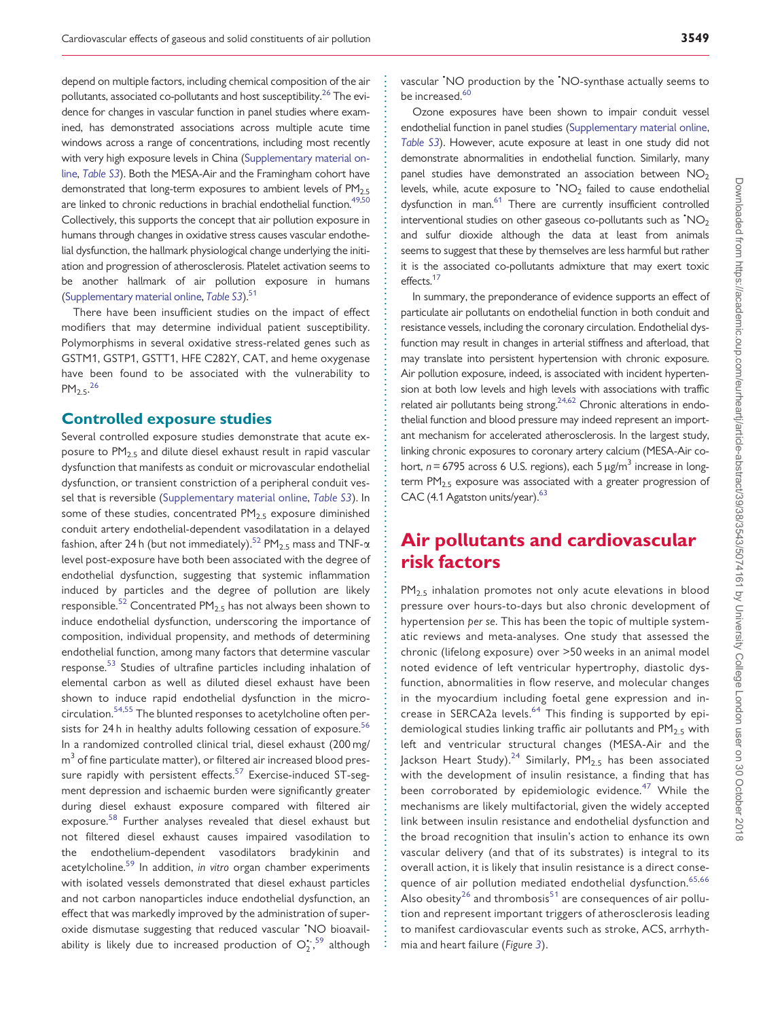<span id="page-6-0"></span>. depend on multiple factors, including chemical composition of the air pollutants, associated co-pollutants and host susceptibility.<sup>[26](#page-8-0)</sup> The evidence for changes in vascular function in panel studies where examined, has demonstrated associations across multiple acute time windows across a range of concentrations, including most recently with very high exposure levels in China ([Supplementary material on](https://academic.oup.com/eurheartj/article-lookup/doi/10.1093/eurheartj/ehy481#supplementary-data)[line](https://academic.oup.com/eurheartj/article-lookup/doi/10.1093/eurheartj/ehy481#supplementary-data), [Table S3](https://academic.oup.com/eurheartj/article-lookup/doi/10.1093/eurheartj/ehy481#supplementary-data)). Both the MESA-Air and the Framingham cohort have demonstrated that long-term exposures to ambient levels of  $PM<sub>2.5</sub>$ are linked to chronic reductions in brachial endothelial function.<sup>[49](#page-8-0),[50](#page-8-0)</sup> Collectively, this supports the concept that air pollution exposure in humans through changes in oxidative stress causes vascular endothelial dysfunction, the hallmark physiological change underlying the initiation and progression of atherosclerosis. Platelet activation seems to be another hallmark of air pollution exposure in humans ([Supplementary material online,](https://academic.oup.com/eurheartj/article-lookup/doi/10.1093/eurheartj/ehy481#supplementary-data) Table  $53$ ).<sup>51</sup>

There have been insufficient studies on the impact of effect modifiers that may determine individual patient susceptibility. Polymorphisms in several oxidative stress-related genes such as GSTM1, GSTP1, GSTT1, HFE C282Y, CAT, and heme oxygenase have been found to be associated with the vulnerability to  $PM_{2.5}$ <sup>[26](#page-8-0)</sup>

#### Controlled exposure studies

Several controlled exposure studies demonstrate that acute exposure to  $PM<sub>25</sub>$  and dilute diesel exhaust result in rapid vascular dysfunction that manifests as conduit or microvascular endothelial dysfunction, or transient constriction of a peripheral conduit vessel that is reversible ([Supplementary material online,](https://academic.oup.com/eurheartj/article-lookup/doi/10.1093/eurheartj/ehy481#supplementary-data) [Table S3](https://academic.oup.com/eurheartj/article-lookup/doi/10.1093/eurheartj/ehy481#supplementary-data)). In some of these studies, concentrated  $PM<sub>2.5</sub>$  exposure diminished conduit artery endothelial-dependent vasodilatation in a delayed fashion, after 24 h (but not immediately).<sup>[52](#page-8-0)</sup> PM<sub>2.5</sub> mass and TNF- $\alpha$ level post-exposure have both been associated with the degree of endothelial dysfunction, suggesting that systemic inflammation induced by particles and the degree of pollution are likely responsible.<sup>[52](#page-8-0)</sup> Concentrated  $PM_{2.5}$  has not always been shown to induce endothelial dysfunction, underscoring the importance of composition, individual propensity, and methods of determining endothelial function, among many factors that determine vascular response.[53](#page-8-0) Studies of ultrafine particles including inhalation of elemental carbon as well as diluted diesel exhaust have been shown to induce rapid endothelial dysfunction in the microcirculation.[54,](#page-8-0)[55](#page-9-0) The blunted responses to acetylcholine often per-sists for 24h in healthy adults following cessation of exposure.<sup>[56](#page-9-0)</sup> In a randomized controlled clinical trial, diesel exhaust (200 mg/  $m<sup>3</sup>$  of fine particulate matter), or filtered air increased blood pressure rapidly with persistent effects. $57$  Exercise-induced ST-segment depression and ischaemic burden were significantly greater during diesel exhaust exposure compared with filtered air exposure.[58](#page-9-0) Further analyses revealed that diesel exhaust but not filtered diesel exhaust causes impaired vasodilation to the endothelium-dependent vasodilators bradykinin and acetylcholine.<sup>[59](#page-9-0)</sup> In addition, in vitro organ chamber experiments with isolated vessels demonstrated that diesel exhaust particles and not carbon nanoparticles induce endothelial dysfunction, an effect that was markedly improved by the administration of superoxide dismutase suggesting that reduced vascular • NO bioavailability is likely due to increased production of  $\mathrm{O}_2^{\boldsymbol{\cdot},-59}$  $\mathrm{O}_2^{\boldsymbol{\cdot},-59}$  $\mathrm{O}_2^{\boldsymbol{\cdot},-59}$  although

vascular 'NO production by the 'NO-synthase actually seems to be increased.<sup>[60](#page-9-0)</sup>

Ozone exposures have been shown to impair conduit vessel endothelial function in panel studies ([Supplementary material online,](https://academic.oup.com/eurheartj/article-lookup/doi/10.1093/eurheartj/ehy481#supplementary-data) [Table S3](https://academic.oup.com/eurheartj/article-lookup/doi/10.1093/eurheartj/ehy481#supplementary-data)). However, acute exposure at least in one study did not demonstrate abnormalities in endothelial function. Similarly, many panel studies have demonstrated an association between  $NO<sub>2</sub>$ levels, while, acute exposure to  $\text{^*NO}_2$  failed to cause endothelial dysfunction in man.<sup>[61](#page-9-0)</sup> There are currently insufficient controlled interventional studies on other gaseous co-pollutants such as  $\text{`NO}_2$ and sulfur dioxide although the data at least from animals seems to suggest that these by themselves are less harmful but rather it is the associated co-pollutants admixture that may exert toxic effects.<sup>[17](#page-8-0)</sup>

In summary, the preponderance of evidence supports an effect of particulate air pollutants on endothelial function in both conduit and resistance vessels, including the coronary circulation. Endothelial dysfunction may result in changes in arterial stiffness and afterload, that may translate into persistent hypertension with chronic exposure. Air pollution exposure, indeed, is associated with incident hypertension at both low levels and high levels with associations with traffic related air pollutants being strong.<sup>24,[62](#page-9-0)</sup> Chronic alterations in endothelial function and blood pressure may indeed represent an important mechanism for accelerated atherosclerosis. In the largest study, linking chronic exposures to coronary artery calcium (MESA-Air cohort,  $n = 6795$  across 6 U.S. regions), each 5  $\mu$ g/m<sup>3</sup> increase in longterm  $PM<sub>2.5</sub>$  exposure was associated with a greater progression of CAC (4.1 Agatston units/year).<sup>[63](#page-9-0)</sup>

# Air pollutants and cardiovascular risk factors

 $PM<sub>2.5</sub>$  inhalation promotes not only acute elevations in blood pressure over hours-to-days but also chronic development of hypertension per se. This has been the topic of multiple systematic reviews and meta-analyses. One study that assessed the chronic (lifelong exposure) over >50 weeks in an animal model noted evidence of left ventricular hypertrophy, diastolic dysfunction, abnormalities in flow reserve, and molecular changes in the myocardium including foetal gene expression and in-crease in SERCA2a levels.<sup>[64](#page-9-0)</sup> This finding is supported by epidemiological studies linking traffic air pollutants and  $PM<sub>2.5</sub>$  with left and ventricular structural changes (MESA-Air and the Jackson Heart Study).<sup>[24](#page-8-0)</sup> Similarly,  $PM_{2.5}$  has been associated with the development of insulin resistance, a finding that has been corroborated by epidemiologic evidence.<sup>[47](#page-8-0)</sup> While the mechanisms are likely multifactorial, given the widely accepted link between insulin resistance and endothelial dysfunction and the broad recognition that insulin's action to enhance its own vascular delivery (and that of its substrates) is integral to its overall action, it is likely that insulin resistance is a direct conse-quence of air pollution mediated endothelial dysfunction.<sup>[65,66](#page-9-0)</sup> Also obesity<sup>[26](#page-8-0)</sup> and thrombosis<sup>[51](#page-8-0)</sup> are consequences of air pollution and represent important triggers of atherosclerosis leading to manifest cardiovascular events such as stroke, ACS, arrhythmia and heart failure (Figure [3](#page-4-0)).

. . . . . . . . . . . . . . . . . . . . . . . . . . . . . . . . . . . . . . . . . . . . . . . . . . . . . . . . . . . . . . . . . . . . . . . . . . . . . . . . . . . . . . . . . . . . . . . . . . . . . . . . . . . . . . . . . . . . . . . . . . . . . . . . . . . . . . . . . . . . . . . . . . . . . . . . . . . . . . . . . . . . . . . . . . . .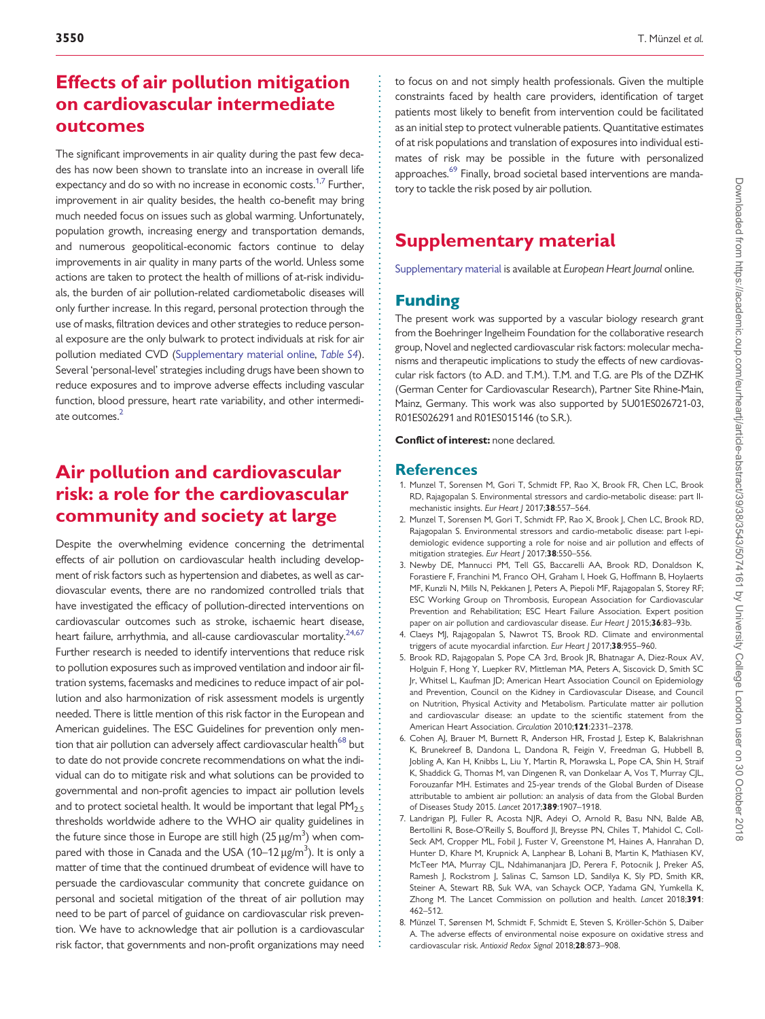### <span id="page-7-0"></span>. Effects of air pollution mitigation on cardiovascular intermediate outcomes

The significant improvements in air quality during the past few decades has now been shown to translate into an increase in overall life expectancy and do so with no increase in economic costs.<sup>1,7</sup> Further, improvement in air quality besides, the health co-benefit may bring much needed focus on issues such as global warming. Unfortunately, population growth, increasing energy and transportation demands, and numerous geopolitical-economic factors continue to delay improvements in air quality in many parts of the world. Unless some actions are taken to protect the health of millions of at-risk individuals, the burden of air pollution-related cardiometabolic diseases will only further increase. In this regard, personal protection through the use of masks, filtration devices and other strategies to reduce personal exposure are the only bulwark to protect individuals at risk for air pollution mediated CVD [\(Supplementary material online](https://academic.oup.com/eurheartj/article-lookup/doi/10.1093/eurheartj/ehy481#supplementary-data), [Table S4](https://academic.oup.com/eurheartj/article-lookup/doi/10.1093/eurheartj/ehy481#supplementary-data)). Several 'personal-level' strategies including drugs have been shown to reduce exposures and to improve adverse effects including vascular function, blood pressure, heart rate variability, and other intermediate outcomes<sup>2</sup>

# Air pollution and cardiovascular risk: a role for the cardiovascular community and society at large

Despite the overwhelming evidence concerning the detrimental effects of air pollution on cardiovascular health including development of risk factors such as hypertension and diabetes, as well as cardiovascular events, there are no randomized controlled trials that have investigated the efficacy of pollution-directed interventions on cardiovascular outcomes such as stroke, ischaemic heart disease, heart failure, arrhythmia, and all-cause cardiovascular mortality.<sup>24,[67](#page-9-0)</sup> Further research is needed to identify interventions that reduce risk to pollution exposures such as improved ventilation and indoor air filtration systems, facemasks and medicines to reduce impact of air pollution and also harmonization of risk assessment models is urgently needed. There is little mention of this risk factor in the European and American guidelines. The ESC Guidelines for prevention only mention that air pollution can adversely affect cardiovascular health<sup>68</sup> but to date do not provide concrete recommendations on what the individual can do to mitigate risk and what solutions can be provided to governmental and non-profit agencies to impact air pollution levels and to protect societal health. It would be important that legal  $PM<sub>2.5</sub>$ thresholds worldwide adhere to the WHO air quality guidelines in the future since those in Europe are still high (25  $\mu$ g/m $^3)$  when compared with those in Canada and the USA (10–12  $\mu$ g/m $^3$ ). It is only a matter of time that the continued drumbeat of evidence will have to persuade the cardiovascular community that concrete guidance on personal and societal mitigation of the threat of air pollution may need to be part of parcel of guidance on cardiovascular risk prevention. We have to acknowledge that air pollution is a cardiovascular risk factor, that governments and non-profit organizations may need

to focus on and not simply health professionals. Given the multiple constraints faced by health care providers, identification of target patients most likely to benefit from intervention could be facilitated as an initial step to protect vulnerable patients. Quantitative estimates of at risk populations and translation of exposures into individual estimates of risk may be possible in the future with personalized approaches.<sup>[69](#page-9-0)</sup> Finally, broad societal based interventions are mandatory to tackle the risk posed by air pollution.

# Supplementary material

[Supplementary material](https://academic.oup.com/eurheartj/article-lookup/doi/10.1093/eurheartj/ehy481#supplementary-data) is available at European Heart Journal online.

#### Funding

The present work was supported by a vascular biology research grant from the Boehringer Ingelheim Foundation for the collaborative research group, Novel and neglected cardiovascular risk factors: molecular mechanisms and therapeutic implications to study the effects of new cardiovascular risk factors (to A.D. and T.M.). T.M. and T.G. are PIs of the DZHK (German Center for Cardiovascular Research), Partner Site Rhine-Main, Mainz, Germany. This work was also supported by 5U01ES026721-03, R01ES026291 and R01ES015146 (to S.R.).

Conflict of interest: none declared.

#### **References**

. . . . . . . . . . . . . . . . . . . . . . . . . . . . . . . . . . . . . . . . . . . . . . . . . . . . . . . . . . . . . . . . . . . . . . . . . . . . . . . . . . . . . . . . . . . . . . . . . . . . . . . . . . . . . . . . . . . . . . . . . . . . . . . . . . . . . . . . . . . . . . . . . . . . . . . . . . . . . . . . . . . . . . . . . . . .

- [1.](#page-5-0) Munzel T, Sorensen M, Gori T, Schmidt FP, Rao X, Brook FR, Chen LC, Brook RD, Rajagopalan S. Environmental stressors and cardio-metabolic disease: part IImechanistic insights. Eur Heart J 2017;38:557-564.
- 2. Munzel T, Sorensen M, Gori T, Schmidt FP, Rao X, Brook J, Chen LC, Brook RD, Rajagopalan S. Environmental stressors and cardio-metabolic disease: part I-epidemiologic evidence supporting a role for noise and air pollution and effects of mitigation strategies. Eur Heart | 2017;38:550-556.
- 3. Newby DE, Mannucci PM, Tell GS, Baccarelli AA, Brook RD, Donaldson K, Forastiere F, Franchini M, Franco OH, Graham I, Hoek G, Hoffmann B, Hoylaerts MF, Kunzli N, Mills N, Pekkanen J, Peters A, Piepoli MF, Rajagopalan S, Storey RF; ESC Working Group on Thrombosis, European Association for Cardiovascular Prevention and Rehabilitation; ESC Heart Failure Association. Expert position paper on air pollution and cardiovascular disease. Eur Heart | 2015;36:83-93b.
- 4. Claeys MJ, Rajagopalan S, Nawrot TS, Brook RD. Climate and environmental triggers of acute myocardial infarction. Eur Heart | 2017;38:955-960.
- [5.](#page-1-0) Brook RD, Rajagopalan S, Pope CA 3rd, Brook JR, Bhatnagar A, Diez-Roux AV, Holguin F, Hong Y, Luepker RV, Mittleman MA, Peters A, Siscovick D, Smith SC Jr, Whitsel L, Kaufman JD; American Heart Association Council on Epidemiology and Prevention, Council on the Kidney in Cardiovascular Disease, and Council on Nutrition, Physical Activity and Metabolism. Particulate matter air pollution and cardiovascular disease: an update to the scientific statement from the American Heart Association. Circulation 2010;121:2331–2378.
- [6.](#page-0-0) Cohen AJ, Brauer M, Burnett R, Anderson HR, Frostad J, Estep K, Balakrishnan K, Brunekreef B, Dandona L, Dandona R, Feigin V, Freedman G, Hubbell B, Jobling A, Kan H, Knibbs L, Liu Y, Martin R, Morawska L, Pope CA, Shin H, Straif K, Shaddick G, Thomas M, van Dingenen R, van Donkelaar A, Vos T, Murray CJL, Forouzanfar MH. Estimates and 25-year trends of the Global Burden of Disease attributable to ambient air pollution: an analysis of data from the Global Burden of Diseases Study 2015. Lancet 2017;389:1907–1918.
- [7.](#page-0-0) Landrigan PJ, Fuller R, Acosta NJR, Adeyi O, Arnold R, Basu NN, Balde AB, Bertollini R, Bose-O'Reilly S, Boufford JI, Breysse PN, Chiles T, Mahidol C, Coll-Seck AM, Cropper ML, Fobil J, Fuster V, Greenstone M, Haines A, Hanrahan D, Hunter D, Khare M, Krupnick A, Lanphear B, Lohani B, Martin K, Mathiasen KV, McTeer MA, Murray CJL, Ndahimananjara JD, Perera F, Potocnik J, Preker AS, Ramesh J, Rockstrom J, Salinas C, Samson LD, Sandilya K, Sly PD, Smith KR, Steiner A, Stewart RB, Suk WA, van Schayck OCP, Yadama GN, Yumkella K, Zhong M. The Lancet Commission on pollution and health. Lancet 2018;391: 462–512.
- [8.](#page-1-0) Münzel T, Sørensen M, Schmidt F, Schmidt E, Steven S, Kröller-Schön S, Daiber A. The adverse effects of environmental noise exposure on oxidative stress and cardiovascular risk. Antioxid Redox Signal 2018;28:873–908.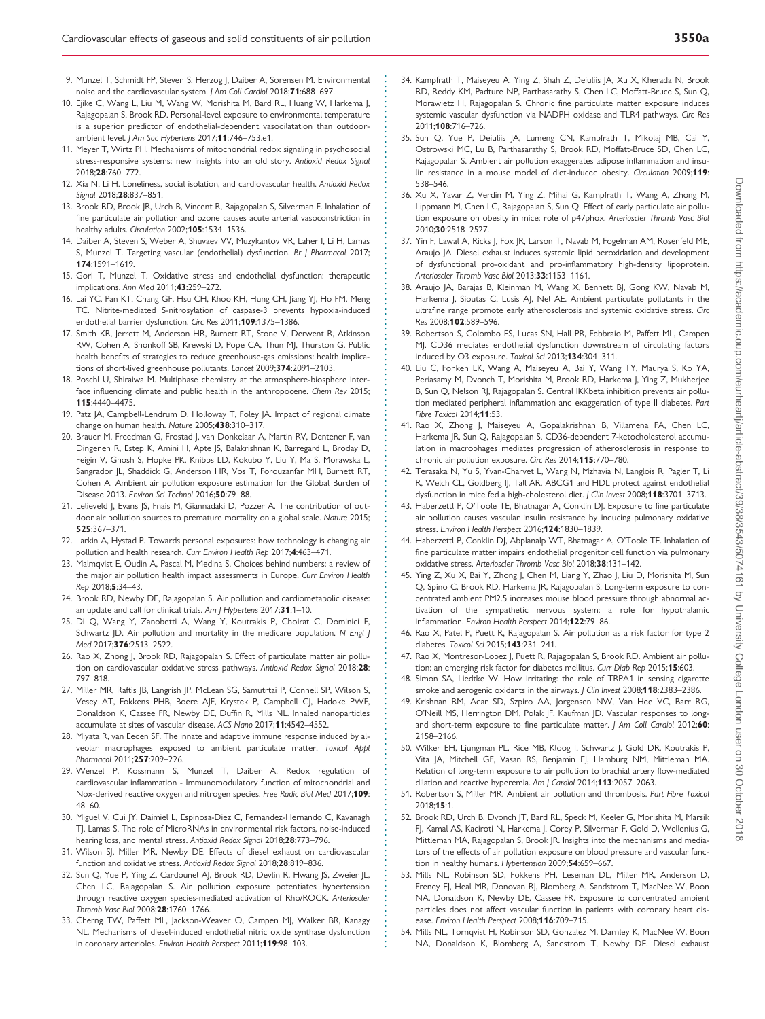- <span id="page-8-0"></span>. 9. Munzel T, Schmidt FP, Steven S, Herzog J, Daiber A, Sorensen M. Environmental noise and the cardiovascular system. J Am Coll Cardiol 2018;71:688–697.
- 10. Ejike C, Wang L, Liu M, Wang W, Morishita M, Bard RL, Huang W, Harkema J, Rajagopalan S, Brook RD. Personal-level exposure to environmental temperature is a superior predictor of endothelial-dependent vasodilatation than outdoorambient level. J Am Soc Hypertens 2017;11:746-753.e1.
- 11. Meyer T, Wirtz PH. Mechanisms of mitochondrial redox signaling in psychosocial stress-responsive systems: new insights into an old story. Antioxid Redox Signal 2018;28:760–772.
- 12. Xia N, Li H. Loneliness, social isolation, and cardiovascular health. Antioxid Redox Signal 2018:28:837-851.
- [13.](#page-1-0) Brook RD, Brook JR, Urch B, Vincent R, Rajagopalan S, Silverman F. Inhalation of fine particulate air pollution and ozone causes acute arterial vasoconstriction in healthy adults. Circulation 2002;105:1534-1536.
- [14.](#page-1-0) Daiber A, Steven S, Weber A, Shuvaev VV, Muzykantov VR, Laher I, Li H, Lamas S, Munzel T. Targeting vascular (endothelial) dysfunction. Br J Pharmacol 2017; 174:1591–1619.
- [15.](#page-1-0) Gori T, Munzel T. Oxidative stress and endothelial dysfunction: therapeutic implications. Ann Med 2011;43:259–272.
- [16.](#page-1-0) Lai YC, Pan KT, Chang GF, Hsu CH, Khoo KH, Hung CH, Jiang YJ, Ho FM, Meng TC. Nitrite-mediated S-nitrosylation of caspase-3 prevents hypoxia-induced endothelial barrier dysfunction. Circ Res 2011;109:1375–1386.
- [17.](#page-1-0) Smith KR, Jerrett M, Anderson HR, Burnett RT, Stone V, Derwent R, Atkinson RW, Cohen A, Shonkoff SB, Krewski D, Pope CA, Thun MJ, Thurston G. Public health benefits of strategies to reduce greenhouse-gas emissions: health implications of short-lived greenhouse pollutants. Lancet 2009;374:2091–2103.
- [18.](#page-2-0) Poschl U, Shiraiwa M. Multiphase chemistry at the atmosphere-biosphere interface influencing climate and public health in the anthropocene. Chem Rev 2015; 115:4440–4475.
- [19.](#page-2-0) Patz JA, Campbell-Lendrum D, Holloway T, Foley JA. Impact of regional climate change on human health. Nature 2005;438:310–317.
- [20.](#page-2-0) Brauer M, Freedman G, Frostad J, van Donkelaar A, Martin RV, Dentener F, van Dingenen R, Estep K, Amini H, Apte JS, Balakrishnan K, Barregard L, Broday D, Feigin V, Ghosh S, Hopke PK, Knibbs LD, Kokubo Y, Liu Y, Ma S, Morawska L, Sangrador JL, Shaddick G, Anderson HR, Vos T, Forouzanfar MH, Burnett RT, Cohen A. Ambient air pollution exposure estimation for the Global Burden of Disease 2013. Environ Sci Technol 2016;50:79–88.
- [21.](#page-2-0) Lelieveld J, Evans JS, Fnais M, Giannadaki D, Pozzer A. The contribution of outdoor air pollution sources to premature mortality on a global scale. Nature 2015; 525:367–371.
- [22.](#page-2-0) Larkin A, Hystad P. Towards personal exposures: how technology is changing air pollution and health research. Curr Environ Health Rep 2017;4:463–471.
- [23.](#page-2-0) Malmqvist E, Oudin A, Pascal M, Medina S. Choices behind numbers: a review of the major air pollution health impact assessments in Europe. Curr Environ Health Rep 2018;5:34–43.
- [24.](#page-2-0) Brook RD, Newby DE, Rajagopalan S. Air pollution and cardiometabolic disease: an update and call for clinical trials. Am J Hypertens 2017;31:1-10.
- [25.](#page-2-0) Di Q, Wang Y, Zanobetti A, Wang Y, Koutrakis P, Choirat C, Dominici F, Schwartz JD. Air pollution and mortality in the medicare population. N Engl J Med 2017;376:2513-2522
- [26.](#page-2-0) Rao X, Zhong J, Brook RD, Rajagopalan S. Effect of particulate matter air pollution on cardiovascular oxidative stress pathways. Antioxid Redox Signal 2018;28: 797–818.
- [27.](#page-2-0) Miller MR, Raftis JB, Langrish JP, McLean SG, Samutrtai P, Connell SP, Wilson S, Vesey AT, Fokkens PHB, Boere AJF, Krystek P, Campbell CJ, Hadoke PWF, Donaldson K, Cassee FR, Newby DE, Duffin R, Mills NL. Inhaled nanoparticles accumulate at sites of vascular disease. ACS Nano 2017;11:4542–4552.
- [28.](#page-3-0) Miyata R, van Eeden SF. The innate and adaptive immune response induced by alveolar macrophages exposed to ambient particulate matter. Toxicol Appl Pharmacol 2011;257:209–226.
- [29.](#page-3-0) Wenzel P, Kossmann S, Munzel T, Daiber A. Redox regulation of cardiovascular inflammation - Immunomodulatory function of mitochondrial and Nox-derived reactive oxygen and nitrogen species. Free Radic Biol Med 2017;109: 48–60.
- [30.](#page-3-0) Miguel V, Cui JY, Daimiel L, Espinosa-Diez C, Fernandez-Hernando C, Kavanagh TJ, Lamas S. The role of MicroRNAs in environmental risk factors, noise-induced hearing loss, and mental stress. Antioxid Redox Signal 2018:28:773-796.
- [31.](#page-3-0) Wilson SJ, Miller MR, Newby DE. Effects of diesel exhaust on cardiovascular function and oxidative stress. Antioxid Redox Signal 2018;28:819–836.
- [32.](#page-5-0) Sun Q, Yue P, Ying Z, Cardounel AJ, Brook RD, Devlin R, Hwang JS, Zweier JL, Chen LC, Rajagopalan S. Air pollution exposure potentiates hypertension through reactive oxygen species-mediated activation of Rho/ROCK. Arterioscler Thromb Vasc Biol 2008;28:1760–1766.
- [33.](#page-5-0) Cherng TW, Paffett ML, Jackson-Weaver O, Campen MJ, Walker BR, Kanagy NL. Mechanisms of diesel-induced endothelial nitric oxide synthase dysfunction in coronary arterioles. Environ Health Perspect 2011;119:98–103.
- [34](#page-5-0). Kampfrath T, Maiseyeu A, Ying Z, Shah Z, Deiuliis JA, Xu X, Kherada N, Brook RD, Reddy KM, Padture NP, Parthasarathy S, Chen LC, Moffatt-Bruce S, Sun Q, Morawietz H, Rajagopalan S. Chronic fine particulate matter exposure induces systemic vascular dysfunction via NADPH oxidase and TLR4 pathways. Circ Res 2011;108:716–726.
- [35](#page-5-0). Sun Q, Yue P, Deiuliis JA, Lumeng CN, Kampfrath T, Mikolaj MB, Cai Y, Ostrowski MC, Lu B, Parthasarathy S, Brook RD, Moffatt-Bruce SD, Chen LC, Rajagopalan S. Ambient air pollution exaggerates adipose inflammation and insulin resistance in a mouse model of diet-induced obesity. Circulation 2009;119: 538–546.
- [36](#page-5-0). Xu X, Yavar Z, Verdin M, Ying Z, Mihai G, Kampfrath T, Wang A, Zhong M, Lippmann M, Chen LC, Rajagopalan S, Sun Q. Effect of early particulate air pollution exposure on obesity in mice: role of p47phox. Arterioscler Thromb Vasc Biol 2010;30:2518–2527.
- [37](#page-5-0). Yin F, Lawal A, Ricks J, Fox JR, Larson T, Navab M, Fogelman AM, Rosenfeld ME, Araujo JA. Diesel exhaust induces systemic lipid peroxidation and development of dysfunctional pro-oxidant and pro-inflammatory high-density lipoprotein. Arterioscler Thromb Vasc Biol 2013;33:1153–1161.
- [38](#page-5-0). Araujo JA, Barajas B, Kleinman M, Wang X, Bennett BJ, Gong KW, Navab M, Harkema J, Sioutas C, Lusis AJ, Nel AE. Ambient particulate pollutants in the ultrafine range promote early atherosclerosis and systemic oxidative stress. Circ Res 2008;102:589–596.
- [39](#page-5-0). Robertson S, Colombo ES, Lucas SN, Hall PR, Febbraio M, Paffett ML, Campen MJ. CD36 mediates endothelial dysfunction downstream of circulating factors induced by O3 exposure. Toxicol Sci 2013;134:304-311.
- [40](#page-5-0). Liu C, Fonken LK, Wang A, Maiseyeu A, Bai Y, Wang TY, Maurya S, Ko YA, Periasamy M, Dvonch T, Morishita M, Brook RD, Harkema J, Ying Z, Mukherjee B, Sun Q, Nelson RJ, Rajagopalan S. Central IKKbeta inhibition prevents air pollution mediated peripheral inflammation and exaggeration of type II diabetes. Part Fibre Toxicol 2014;11:53.
- [41](#page-5-0). Rao X, Zhong J, Maiseyeu A, Gopalakrishnan B, Villamena FA, Chen LC, Harkema JR, Sun Q, Rajagopalan S. CD36-dependent 7-ketocholesterol accumulation in macrophages mediates progression of atherosclerosis in response to chronic air pollution exposure. Circ Res 2014;115:770–780.
- [42](#page-5-0). Terasaka N, Yu S, Yvan-Charvet L, Wang N, Mzhavia N, Langlois R, Pagler T, Li R, Welch CL, Goldberg IJ, Tall AR. ABCG1 and HDL protect against endothelial dysfunction in mice fed a high-cholesterol diet. J Clin Invest 2008;118:3701-3713.
- [43](#page-5-0). Haberzettl P, O'Toole TE, Bhatnagar A, Conklin DJ. Exposure to fine particulate air pollution causes vascular insulin resistance by inducing pulmonary oxidative stress. Environ Health Perspect 2016;124:1830–1839.
- [44](#page-5-0). Haberzettl P, Conklin DJ, Abplanalp WT, Bhatnagar A, O'Toole TE. Inhalation of fine particulate matter impairs endothelial progenitor cell function via pulmonary oxidative stress. Arterioscler Thromb Vasc Biol 2018;38:131–142.
- [45](#page-5-0). Ying Z, Xu X, Bai Y, Zhong J, Chen M, Liang Y, Zhao J, Liu D, Morishita M, Sun Q, Spino C, Brook RD, Harkema JR, Rajagopalan S. Long-term exposure to concentrated ambient PM2.5 increases mouse blood pressure through abnormal activation of the sympathetic nervous system: a role for hypothalamic inflammation. Environ Health Perspect 2014;122:79–86.
- [46](#page-5-0). Rao X, Patel P, Puett R, Rajagopalan S. Air pollution as a risk factor for type 2 diabetes. Toxicol Sci 2015;143:231–241.
- [47](#page-5-0). Rao X, Montresor-Lopez J, Puett R, Rajagopalan S, Brook RD. Ambient air pollution: an emerging risk factor for diabetes mellitus. Curr Diab Rep 2015;15:603.
- [48](#page-5-0). Simon SA, Liedtke W. How irritating: the role of TRPA1 in sensing cigarette smoke and aerogenic oxidants in the airways. J Clin Invest 2008;118:2383-2386.
- [49](#page-6-0). Krishnan RM, Adar SD, Szpiro AA, Jorgensen NW, Van Hee VC, Barr RG, O'Neill MS, Herrington DM, Polak JF, Kaufman JD. Vascular responses to longand short-term exposure to fine particulate matter. J Am Coll Cardiol 2012;60: 2158–2166.
- [50](#page-6-0). Wilker EH, Ljungman PL, Rice MB, Kloog I, Schwartz J, Gold DR, Koutrakis P, Vita JA, Mitchell GF, Vasan RS, Benjamin EJ, Hamburg NM, Mittleman MA. Relation of long-term exposure to air pollution to brachial artery flow-mediated dilation and reactive hyperemia. Am J Cardiol 2014;113:2057-2063.
- [51](#page-6-0). Robertson S, Miller MR. Ambient air pollution and thrombosis. Part Fibre Toxicol 2018;15:1.
- [52](#page-6-0). Brook RD, Urch B, Dvonch JT, Bard RL, Speck M, Keeler G, Morishita M, Marsik FJ, Kamal AS, Kaciroti N, Harkema J, Corey P, Silverman F, Gold D, Wellenius G, Mittleman MA, Rajagopalan S, Brook JR. Insights into the mechanisms and mediators of the effects of air pollution exposure on blood pressure and vascular function in healthy humans. Hypertension 2009;54:659-667.
- [53](#page-6-0). Mills NL, Robinson SD, Fokkens PH, Leseman DL, Miller MR, Anderson D, Freney EJ, Heal MR, Donovan RJ, Blomberg A, Sandstrom T, MacNee W, Boon NA, Donaldson K, Newby DE, Cassee FR. Exposure to concentrated ambient particles does not affect vascular function in patients with coronary heart disease. Environ Health Perspect 2008;116:709-715.
- [54](#page-6-0). Mills NL, Tornqvist H, Robinson SD, Gonzalez M, Darnley K, MacNee W, Boon NA, Donaldson K, Blomberg A, Sandstrom T, Newby DE. Diesel exhaust

. . . . . . . . . . . . . . . . . . . . . . . . . . . . . . . . . . . . . . . . . . . . . . . . . . . . . . . . . . . . . . . . . . . . . . . . . . . . . . . . . . . . . . . . . . . . . . . . . . . . . . . . . . . . . . . . . . . . . . . . . . . . . . . . . . . . . . . . . . . . . . . . . . . . . . . . . . . . . . . . . . . . . . . . . . . .